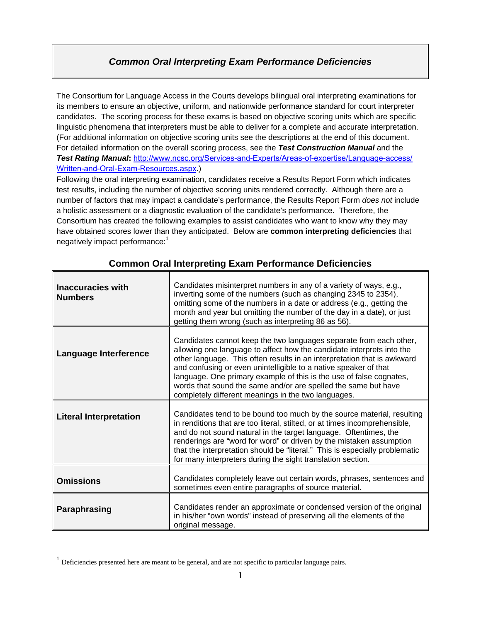# *Common Oral Interpreting Exam Performance Deficiencies*

The Consortium for Language Access in the Courts develops bilingual oral interpreting examinations for its members to ensure an objective, uniform, and nationwide performance standard for court interpreter candidates. The scoring process for these exams is based on objective scoring units which are specific linguistic phenomena that interpreters must be able to deliver for a complete and accurate interpretation. (For additional information on objective scoring units see the descriptions at the end of this document. For detailed information on the overall scoring process, see the *Test Construction Manual* and the *Test Rating Manual***:** http://www.ncsc.org/Services-and-Experts/Areas-of-expertise/Language-access/ Written-and-Oral-Exam-Resources.aspx.)

Following the oral interpreting examination, candidates receive a Results Report Form which indicates test results, including the number of objective scoring units rendered correctly. Although there are a number of factors that may impact a candidate's performance, the Results Report Form *does not* include a holistic assessment or a diagnostic evaluation of the candidate's performance. Therefore, the Consortium has created the following examples to assist candidates who want to know why they may have obtained scores lower than they anticipated. Below are **common interpreting deficiencies** that negatively impact performance:<sup>1</sup>

| <b>Inaccuracies with</b><br><b>Numbers</b> | Candidates misinterpret numbers in any of a variety of ways, e.g.,<br>inverting some of the numbers (such as changing 2345 to 2354),<br>omitting some of the numbers in a date or address (e.g., getting the<br>month and year but omitting the number of the day in a date), or just<br>getting them wrong (such as interpreting 86 as 56).                                                                                                                                               |
|--------------------------------------------|--------------------------------------------------------------------------------------------------------------------------------------------------------------------------------------------------------------------------------------------------------------------------------------------------------------------------------------------------------------------------------------------------------------------------------------------------------------------------------------------|
| <b>Language Interference</b>               | Candidates cannot keep the two languages separate from each other,<br>allowing one language to affect how the candidate interprets into the<br>other language. This often results in an interpretation that is awkward<br>and confusing or even unintelligible to a native speaker of that<br>language. One primary example of this is the use of false cognates,<br>words that sound the same and/or are spelled the same but have<br>completely different meanings in the two languages. |
| <b>Literal Interpretation</b>              | Candidates tend to be bound too much by the source material, resulting<br>in renditions that are too literal, stilted, or at times incomprehensible,<br>and do not sound natural in the target language. Oftentimes, the<br>renderings are "word for word" or driven by the mistaken assumption<br>that the interpretation should be "literal." This is especially problematic<br>for many interpreters during the sight translation section.                                              |
| <b>Omissions</b>                           | Candidates completely leave out certain words, phrases, sentences and<br>sometimes even entire paragraphs of source material.                                                                                                                                                                                                                                                                                                                                                              |
| Paraphrasing                               | Candidates render an approximate or condensed version of the original<br>in his/her "own words" instead of preserving all the elements of the<br>original message.                                                                                                                                                                                                                                                                                                                         |

## **Common Oral Interpreting Exam Performance Deficiencies**

 $<sup>1</sup>$  Deficiencies presented here are meant to be general, and are not specific to particular language pairs.</sup>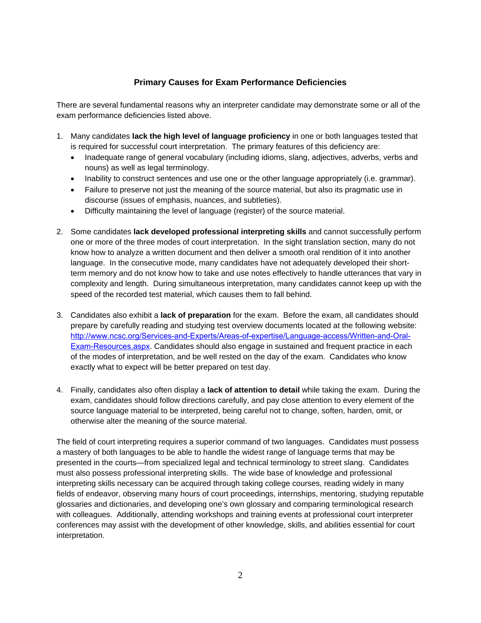### **Primary Causes for Exam Performance Deficiencies**

There are several fundamental reasons why an interpreter candidate may demonstrate some or all of the exam performance deficiencies listed above.

- 1. Many candidates **lack the high level of language proficiency** in one or both languages tested that is required for successful court interpretation. The primary features of this deficiency are:
	- Inadequate range of general vocabulary (including idioms, slang, adjectives, adverbs, verbs and nouns) as well as legal terminology.
	- Inability to construct sentences and use one or the other language appropriately (i.e. grammar).
	- Failure to preserve not just the meaning of the source material, but also its pragmatic use in discourse (issues of emphasis, nuances, and subtleties).
	- Difficulty maintaining the level of language (register) of the source material.
- 2. Some candidates **lack developed professional interpreting skills** and cannot successfully perform one or more of the three modes of court interpretation. In the sight translation section, many do not know how to analyze a written document and then deliver a smooth oral rendition of it into another language. In the consecutive mode, many candidates have not adequately developed their shortterm memory and do not know how to take and use notes effectively to handle utterances that vary in complexity and length. During simultaneous interpretation, many candidates cannot keep up with the speed of the recorded test material, which causes them to fall behind.
- 3. Candidates also exhibit a **lack of preparation** for the exam. Before the exam, all candidates should prepare by carefully reading and studying test overview documents located at the following website: http://www.ncsc.org/Services-and-Experts/Areas-of-expertise/Language-access/Written-and-Oral-Exam-Resources.aspx. Candidates should also engage in sustained and frequent practice in each of the modes of interpretation, and be well rested on the day of the exam. Candidates who know exactly what to expect will be better prepared on test day.
- 4. Finally, candidates also often display a **lack of attention to detail** while taking the exam. During the exam, candidates should follow directions carefully, and pay close attention to every element of the source language material to be interpreted, being careful not to change, soften, harden, omit, or otherwise alter the meaning of the source material.

The field of court interpreting requires a superior command of two languages. Candidates must possess a mastery of both languages to be able to handle the widest range of language terms that may be presented in the courts—from specialized legal and technical terminology to street slang. Candidates must also possess professional interpreting skills. The wide base of knowledge and professional interpreting skills necessary can be acquired through taking college courses, reading widely in many fields of endeavor, observing many hours of court proceedings, internships, mentoring, studying reputable glossaries and dictionaries, and developing one's own glossary and comparing terminological research with colleagues. Additionally, attending workshops and training events at professional court interpreter conferences may assist with the development of other knowledge, skills, and abilities essential for court interpretation.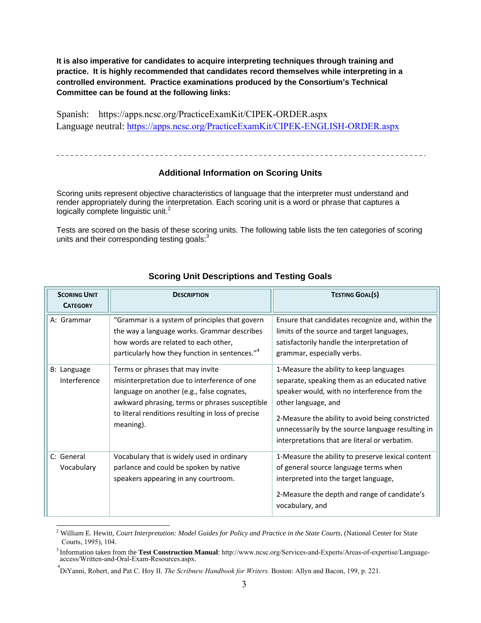**It is also imperative for candidates to acquire interpreting techniques through training and practice. It is highly recommended that candidates record themselves while interpreting in a controlled environment. Practice examinations produced by the Consortium's Technical Committee can be found at the following links:** 

Spanish: https://apps.ncsc.org/PracticeExamKit/CIPEK-ORDER.aspx Language neutral: https://apps.ncsc.org/PracticeExamKit/CIPEK-ENGLISH-ORDER.aspx

### **Additional Information on Scoring Units**

Scoring units represent objective characteristics of language that the interpreter must understand and render appropriately during the interpretation. Each scoring unit is a word or phrase that captures a logically complete linguistic unit. $2$ 

Tests are scored on the basis of these scoring units. The following table lists the ten categories of scoring units and their corresponding testing goals:<sup>3</sup>

| <b>SCORING UNIT</b><br><b>CATEGORY</b> | <b>DESCRIPTION</b>                                                                                                                                                                                                                                  | <b>TESTING GOAL(S)</b>                                                                                                                                                                                                                                                                                                    |
|----------------------------------------|-----------------------------------------------------------------------------------------------------------------------------------------------------------------------------------------------------------------------------------------------------|---------------------------------------------------------------------------------------------------------------------------------------------------------------------------------------------------------------------------------------------------------------------------------------------------------------------------|
| A: Grammar                             | "Grammar is a system of principles that govern<br>the way a language works. Grammar describes<br>how words are related to each other,<br>particularly how they function in sentences." <sup>4</sup>                                                 | Ensure that candidates recognize and, within the<br>limits of the source and target languages,<br>satisfactorily handle the interpretation of<br>grammar, especially verbs.                                                                                                                                               |
| B: Language<br>Interference            | Terms or phrases that may invite<br>misinterpretation due to interference of one<br>language on another (e.g., false cognates,<br>awkward phrasing, terms or phrases susceptible<br>to literal renditions resulting in loss of precise<br>meaning). | 1-Measure the ability to keep languages<br>separate, speaking them as an educated native<br>speaker would, with no interference from the<br>other language, and<br>2-Measure the ability to avoid being constricted<br>unnecessarily by the source language resulting in<br>interpretations that are literal or verbatim. |
| C: General<br>Vocabulary               | Vocabulary that is widely used in ordinary<br>parlance and could be spoken by native<br>speakers appearing in any courtroom.                                                                                                                        | 1-Measure the ability to preserve lexical content<br>of general source language terms when<br>interpreted into the target language,<br>2-Measure the depth and range of candidate's<br>vocabulary, and                                                                                                                    |

### **Scoring Unit Descriptions and Testing Goals**

<sup>2</sup> William E. Hewitt, *Court Interpretation: Model Guides for Policy and Practice in the State Courts,* (National Center for State Courts, 1995), 104.

<sup>3</sup>Information taken from the **Test Construction Manual**: http://www.ncsc.org/Services-and-Experts/Areas-of-expertise/Languageaccess/Written-and-Oral-Exam-Resources.aspx.

<sup>4</sup> DiYanni, Robert, and Pat C. Hoy II. *The Scribnew Handbook for Writers.* Boston: Allyn and Bacon, 199, p. 221.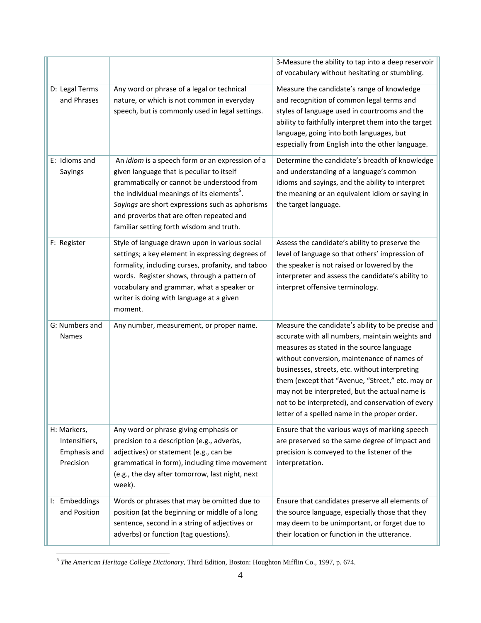| D: Legal Terms                                            | Any word or phrase of a legal or technical                                                                                                                                                                                                                                                                                                      | 3-Measure the ability to tap into a deep reservoir<br>of vocabulary without hesitating or stumbling.<br>Measure the candidate's range of knowledge                                                                                                                                                                                                                                                                                                             |
|-----------------------------------------------------------|-------------------------------------------------------------------------------------------------------------------------------------------------------------------------------------------------------------------------------------------------------------------------------------------------------------------------------------------------|----------------------------------------------------------------------------------------------------------------------------------------------------------------------------------------------------------------------------------------------------------------------------------------------------------------------------------------------------------------------------------------------------------------------------------------------------------------|
| and Phrases                                               | nature, or which is not common in everyday<br>speech, but is commonly used in legal settings.                                                                                                                                                                                                                                                   | and recognition of common legal terms and<br>styles of language used in courtrooms and the<br>ability to faithfully interpret them into the target<br>language, going into both languages, but<br>especially from English into the other language.                                                                                                                                                                                                             |
| E: Idioms and<br>Sayings                                  | An idiom is a speech form or an expression of a<br>given language that is peculiar to itself<br>grammatically or cannot be understood from<br>the individual meanings of its elements <sup>5</sup> .<br>Sayings are short expressions such as aphorisms<br>and proverbs that are often repeated and<br>familiar setting forth wisdom and truth. | Determine the candidate's breadth of knowledge<br>and understanding of a language's common<br>idioms and sayings, and the ability to interpret<br>the meaning or an equivalent idiom or saying in<br>the target language.                                                                                                                                                                                                                                      |
| F: Register                                               | Style of language drawn upon in various social<br>settings; a key element in expressing degrees of<br>formality, including curses, profanity, and taboo<br>words. Register shows, through a pattern of<br>vocabulary and grammar, what a speaker or<br>writer is doing with language at a given<br>moment.                                      | Assess the candidate's ability to preserve the<br>level of language so that others' impression of<br>the speaker is not raised or lowered by the<br>interpreter and assess the candidate's ability to<br>interpret offensive terminology.                                                                                                                                                                                                                      |
| G: Numbers and<br><b>Names</b>                            | Any number, measurement, or proper name.                                                                                                                                                                                                                                                                                                        | Measure the candidate's ability to be precise and<br>accurate with all numbers, maintain weights and<br>measures as stated in the source language<br>without conversion, maintenance of names of<br>businesses, streets, etc. without interpreting<br>them (except that "Avenue, "Street," etc. may or<br>may not be interpreted, but the actual name is<br>not to be interpreted), and conservation of every<br>letter of a spelled name in the proper order. |
| H: Markers,<br>Intensifiers,<br>Emphasis and<br>Precision | Any word or phrase giving emphasis or<br>precision to a description (e.g., adverbs,<br>adjectives) or statement (e.g., can be<br>grammatical in form), including time movement<br>(e.g., the day after tomorrow, last night, next<br>week).                                                                                                     | Ensure that the various ways of marking speech<br>are preserved so the same degree of impact and<br>precision is conveyed to the listener of the<br>interpretation.                                                                                                                                                                                                                                                                                            |
| I: Embeddings<br>and Position                             | Words or phrases that may be omitted due to<br>position (at the beginning or middle of a long<br>sentence, second in a string of adjectives or<br>adverbs) or function (tag questions).                                                                                                                                                         | Ensure that candidates preserve all elements of<br>the source language, especially those that they<br>may deem to be unimportant, or forget due to<br>their location or function in the utterance.                                                                                                                                                                                                                                                             |

<sup>5</sup> *The American Heritage College Dictionary*, Third Edition, Boston: Houghton Mifflin Co., 1997, p. 674.